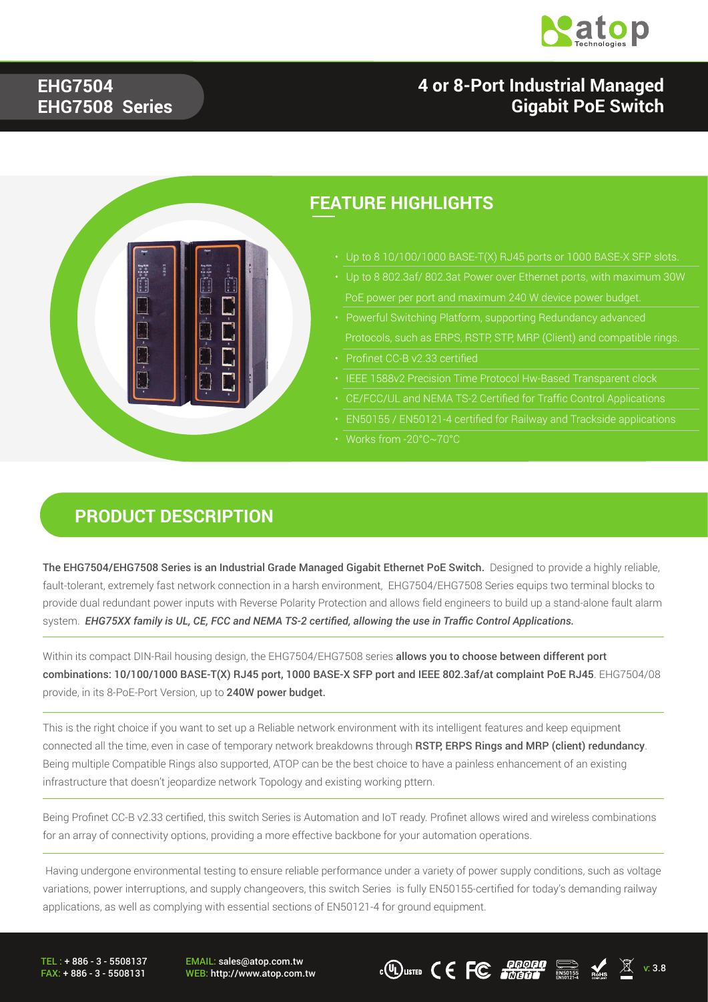

### **4 or 8-Port Industrial Managed Gigabit PoE Switch**

#### **EHG7504 EHG7508 Series**



#### **FEATURE HIGHLIGHTS**

- Up to 8 10/100/1000 BASE-T(X) RJ45 ports or 1000 BASE-X SFP slots.
- 
- Protocols, such as ERPS, RSTP, STP, MRP (Client) and compatible rings.
- Profinet CC-B v2.33 certified
- 
- CE/FCC/UL and NEMA TS-2 Certified for Traffic Control Applications
- EN50155 / EN50121-4 certified for Railway and Trackside applications
- Works from -20°C~70°C

#### **PRODUCT DESCRIPTION**

The EHG7504/EHG7508 Series is an Industrial Grade Managed Gigabit Ethernet PoE Switch. Designed to provide a highly reliable. fault-tolerant, extremely fast network connection in a harsh environment, EHG7504/EHG7508 Series equips two terminal blocks to provide dual redundant power inputs with Reverse Polarity Protection and allows field engineers to build up a stand-alone fault alarm system. *EHG75XX family is UL, CE, FCC and NEMA TS-2 certified, allowing the use in Traffic Control Applications.*

Within its compact DIN-Rail housing design, the EHG7504/EHG7508 series allows you to choose between different port combinations: 10/100/1000 BASE-T(X) RJ45 port, 1000 BASE-X SFP port and IEEE 802.3af/at complaint PoE RJ45. EHG7504/08 provide, in its 8-PoE-Port Version, up to 240W power budget.

This is the right choice if you want to set up a Reliable network environment with its intelligent features and keep equipment connected all the time, even in case of temporary network breakdowns through RSTP, ERPS Rings and MRP (client) redundancy. Being multiple Compatible Rings also supported, ATOP can be the best choice to have a painless enhancement of an existing infrastructure that doesn't jeopardize network Topology and existing working pttern.

Being Profinet CC-B v2.33 certified, this switch Series is Automation and IoT ready. Profinet allows wired and wireless combinations for an array of connectivity options, providing a more effective backbone for your automation operations.

 Having undergone environmental testing to ensure reliable performance under a variety of power supply conditions, such as voltage variations, power interruptions, and supply changeovers, this switch Series is fully EN50155-certified for today's demanding railway applications, as well as complying with essential sections of EN50121-4 for ground equipment.

TEL : + 886 - 3 - 5508137 FAX: + 886 - 3 - 5508131 EMAIL: sales@atop.com.tw

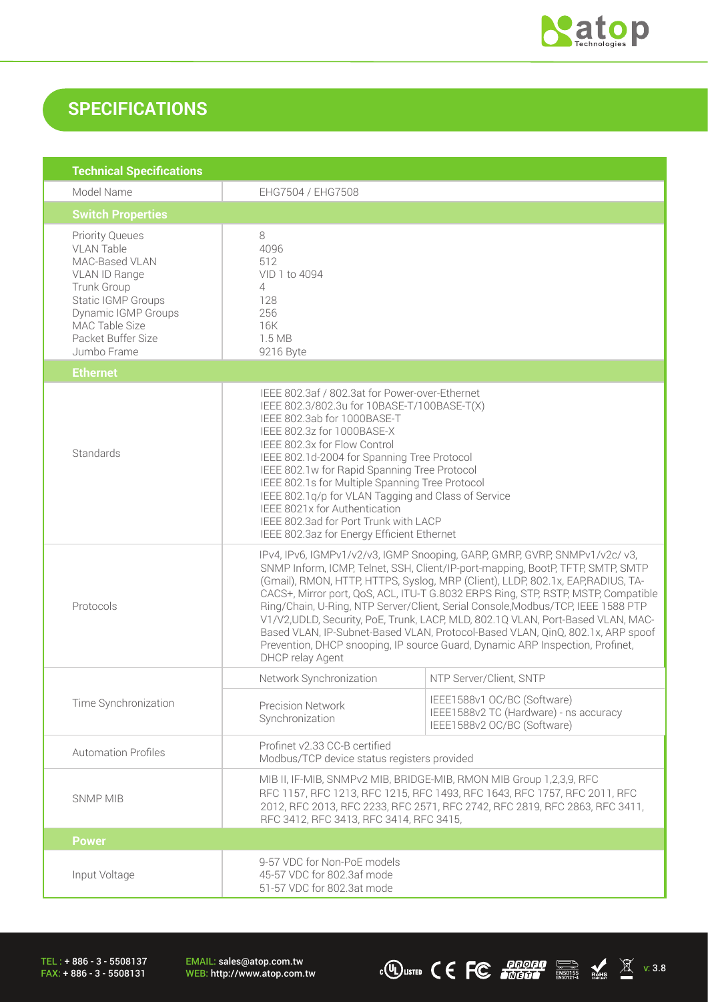

### **SPECIFICATIONS**

| <b>Technical Specifications</b>                                                                                                                                                                          |                                                                                                                                                                                                                                                                                                                                                                                                                                                                                                                                                                                                                                                                                                     |                                                                                                      |
|----------------------------------------------------------------------------------------------------------------------------------------------------------------------------------------------------------|-----------------------------------------------------------------------------------------------------------------------------------------------------------------------------------------------------------------------------------------------------------------------------------------------------------------------------------------------------------------------------------------------------------------------------------------------------------------------------------------------------------------------------------------------------------------------------------------------------------------------------------------------------------------------------------------------------|------------------------------------------------------------------------------------------------------|
| Model Name                                                                                                                                                                                               | EHG7504 / EHG7508                                                                                                                                                                                                                                                                                                                                                                                                                                                                                                                                                                                                                                                                                   |                                                                                                      |
| <b>Switch Properties</b>                                                                                                                                                                                 |                                                                                                                                                                                                                                                                                                                                                                                                                                                                                                                                                                                                                                                                                                     |                                                                                                      |
| <b>Priority Queues</b><br><b>VLAN Table</b><br>MAC-Based VLAN<br>VLAN ID Range<br>Trunk Group<br>Static IGMP Groups<br><b>Dynamic IGMP Groups</b><br>MAC Table Size<br>Packet Buffer Size<br>Jumbo Frame | 8<br>4096<br>512<br>VID 1 to 4094<br>$\overline{4}$<br>128<br>256<br>16K<br>1.5 MB<br>9216 Byte                                                                                                                                                                                                                                                                                                                                                                                                                                                                                                                                                                                                     |                                                                                                      |
| <b>Ethernet</b>                                                                                                                                                                                          |                                                                                                                                                                                                                                                                                                                                                                                                                                                                                                                                                                                                                                                                                                     |                                                                                                      |
| Standards                                                                                                                                                                                                | IEEE 802.3af / 802.3at for Power-over-Ethernet<br>IEEE 802.3/802.3u for 10BASE-T/100BASE-T(X)<br>IEEE 802.3ab for 1000BASE-T<br>IEEE 802.3z for 1000BASE-X<br>IEEE 802.3x for Flow Control<br>IEEE 802.1d-2004 for Spanning Tree Protocol<br>IEEE 802.1w for Rapid Spanning Tree Protocol<br>IEEE 802.1s for Multiple Spanning Tree Protocol<br>IEEE 802.1q/p for VLAN Tagging and Class of Service<br>IEEE 8021x for Authentication<br>IEEE 802.3ad for Port Trunk with LACP<br>IEEE 802.3az for Energy Efficient Ethernet                                                                                                                                                                         |                                                                                                      |
| Protocols                                                                                                                                                                                                | IPv4, IPv6, IGMPv1/v2/v3, IGMP Snooping, GARP, GMRP, GVRP, SNMPv1/v2c/v3,<br>SNMP Inform, ICMP, Telnet, SSH, Client/IP-port-mapping, BootP, TFTP, SMTP, SMTP<br>(Gmail), RMON, HTTP, HTTPS, Syslog, MRP (Client), LLDP, 802.1x, EAP, RADIUS, TA-<br>CACS+, Mirror port, QoS, ACL, ITU-T G.8032 ERPS Ring, STP, RSTP, MSTP, Compatible<br>Ring/Chain, U-Ring, NTP Server/Client, Serial Console, Modbus/TCP, IEEE 1588 PTP<br>V1/V2,UDLD, Security, PoE, Trunk, LACP, MLD, 802.1Q VLAN, Port-Based VLAN, MAC-<br>Based VLAN, IP-Subnet-Based VLAN, Protocol-Based VLAN, QinQ, 802.1x, ARP spoof<br>Prevention, DHCP snooping, IP source Guard, Dynamic ARP Inspection, Profinet,<br>DHCP relay Agent |                                                                                                      |
|                                                                                                                                                                                                          | Network Synchronization                                                                                                                                                                                                                                                                                                                                                                                                                                                                                                                                                                                                                                                                             | NTP Server/Client, SNTP                                                                              |
| Time Synchronization                                                                                                                                                                                     | <b>Precision Network</b><br>Synchronization                                                                                                                                                                                                                                                                                                                                                                                                                                                                                                                                                                                                                                                         | IEEE1588v1 OC/BC (Software)<br>IEEE1588v2 TC (Hardware) - ns accuracy<br>IEEE1588v2 OC/BC (Software) |
| <b>Automation Profiles</b>                                                                                                                                                                               | Profinet v2.33 CC-B certified<br>Modbus/TCP device status registers provided                                                                                                                                                                                                                                                                                                                                                                                                                                                                                                                                                                                                                        |                                                                                                      |
| <b>SNMP MIB</b>                                                                                                                                                                                          | MIB II, IF-MIB, SNMPv2 MIB, BRIDGE-MIB, RMON MIB Group 1,2,3,9, RFC<br>RFC 1157, RFC 1213, RFC 1215, RFC 1493, RFC 1643, RFC 1757, RFC 2011, RFC<br>2012, RFC 2013, RFC 2233, RFC 2571, RFC 2742, RFC 2819, RFC 2863, RFC 3411,<br>RFC 3412, RFC 3413, RFC 3414, RFC 3415,                                                                                                                                                                                                                                                                                                                                                                                                                          |                                                                                                      |
| <b>Power</b>                                                                                                                                                                                             |                                                                                                                                                                                                                                                                                                                                                                                                                                                                                                                                                                                                                                                                                                     |                                                                                                      |
| Input Voltage                                                                                                                                                                                            | 9-57 VDC for Non-PoE models<br>45-57 VDC for 802.3af mode<br>51-57 VDC for 802.3at mode                                                                                                                                                                                                                                                                                                                                                                                                                                                                                                                                                                                                             |                                                                                                      |

TEL : + 886 - 3 - 5508137 FAX: + 886 - 3 - 5508131

EMAIL: sales@atop.com.tw<br>WEB: http://www.atop.com.tw

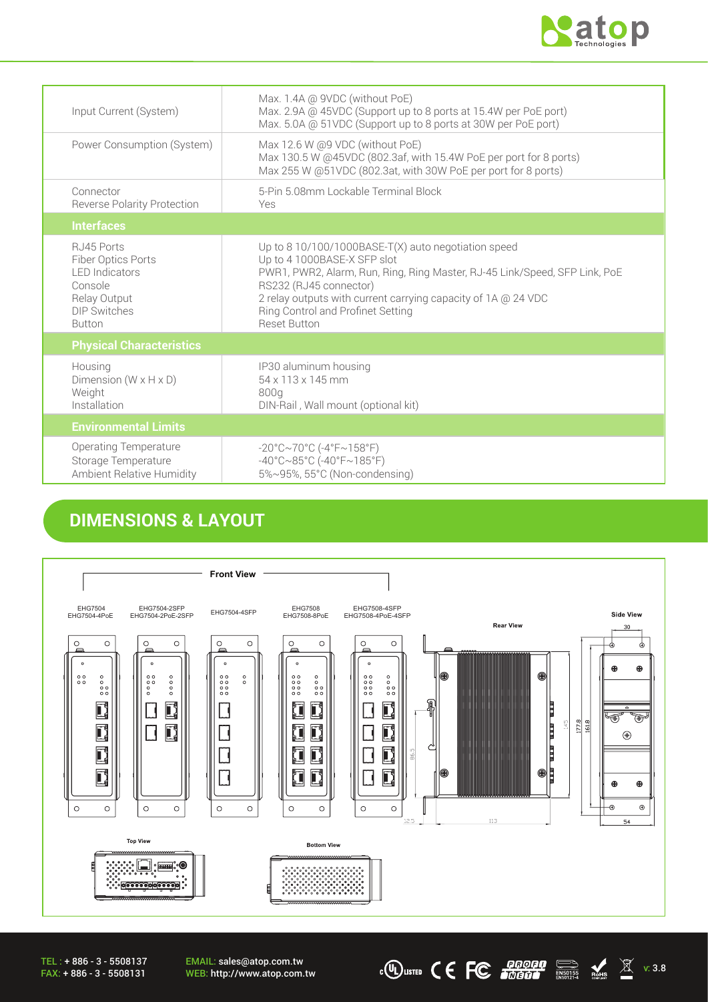

| Input Current (System)                                                                                                | Max. 1.4A @ 9VDC (without PoE)<br>Max. 2.9A @ 45VDC (Support up to 8 ports at 15.4W per PoE port)<br>Max. 5.0A @ 51VDC (Support up to 8 ports at 30W per PoE port)                                                                                                                                                      |
|-----------------------------------------------------------------------------------------------------------------------|-------------------------------------------------------------------------------------------------------------------------------------------------------------------------------------------------------------------------------------------------------------------------------------------------------------------------|
| Power Consumption (System)                                                                                            | Max 12.6 W @9 VDC (without PoE)<br>Max 130.5 W @45VDC (802.3af, with 15.4W PoE per port for 8 ports)<br>Max 255 W @51VDC (802.3at, with 30W PoE per port for 8 ports)                                                                                                                                                   |
| Connector<br><b>Reverse Polarity Protection</b>                                                                       | 5-Pin 5.08mm Lockable Terminal Block<br>Yes                                                                                                                                                                                                                                                                             |
| <b>Interfaces</b>                                                                                                     |                                                                                                                                                                                                                                                                                                                         |
| RJ45 Ports<br>Fiber Optics Ports<br><b>LED</b> Indicators<br>Console<br>Relay Output<br>DIP Switches<br><b>Button</b> | Up to 8 10/100/1000BASE-T(X) auto negotiation speed<br>Up to 4 1000BASE-X SFP slot<br>PWR1, PWR2, Alarm, Run, Ring, Ring Master, RJ-45 Link/Speed, SFP Link, PoE<br>RS232 (RJ45 connector)<br>2 relay outputs with current carrying capacity of 1A @ 24 VDC<br>Ring Control and Profinet Setting<br><b>Reset Button</b> |
| <b>Physical Characteristics</b>                                                                                       |                                                                                                                                                                                                                                                                                                                         |
| Housing<br>Dimension $(W \times H \times D)$<br>Weight<br>Installation                                                | IP30 aluminum housing<br>$54 \times 113 \times 145$ mm<br>800g<br>DIN-Rail, Wall mount (optional kit)                                                                                                                                                                                                                   |
| <b>Environmental Limits</b>                                                                                           |                                                                                                                                                                                                                                                                                                                         |
| <b>Operating Temperature</b><br>Storage Temperature<br><b>Ambient Relative Humidity</b>                               | $-20^{\circ}$ C $\sim$ 70°C (-4°F $\sim$ 158°F)<br>$-40^{\circ}$ C $\sim$ 85°C (-40°F $\sim$ 185°F)<br>5%~95%, 55°C (Non-condensing)                                                                                                                                                                                    |

### **DIMENSIONS & LAYOUT**



WEB: http://www.atop.com.tw v: 3.8

EMAIL: sales@atop.com.tw<br>WEB: http://www.atop.com.tw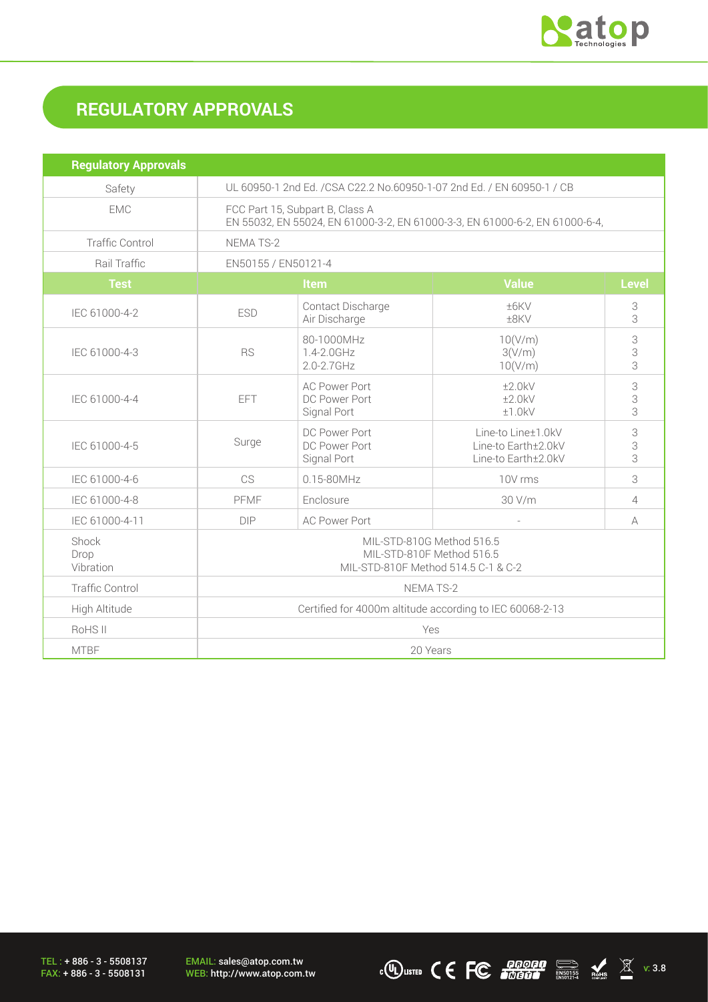

# **REGULATORY APPROVALS**

| <b>Regulatory Approvals</b> |                                                                                                                |                                                      |                                                                  |                |
|-----------------------------|----------------------------------------------------------------------------------------------------------------|------------------------------------------------------|------------------------------------------------------------------|----------------|
| Safety                      | UL 60950-1 2nd Ed. / CSA C22.2 No.60950-1-07 2nd Ed. / EN 60950-1 / CB                                         |                                                      |                                                                  |                |
| <b>EMC</b>                  | FCC Part 15, Subpart B, Class A<br>EN 55032, EN 55024, EN 61000-3-2, EN 61000-3-3, EN 61000-6-2, EN 61000-6-4, |                                                      |                                                                  |                |
| <b>Traffic Control</b>      | NEMA TS-2                                                                                                      |                                                      |                                                                  |                |
| Rail Traffic                | EN50155 / EN50121-4                                                                                            |                                                      |                                                                  |                |
| <b>Test</b>                 | <b>Value</b><br>Item                                                                                           |                                                      | <b>Level</b>                                                     |                |
| IEC 61000-4-2               | <b>ESD</b>                                                                                                     | Contact Discharge<br>Air Discharge                   | ±6KV<br>±8KV                                                     | 3<br>3         |
| IEC 61000-4-3               | <b>RS</b>                                                                                                      | 80-1000MHz<br>1.4-2.0GHz<br>2.0-2.7GHz               | 10(V/m)<br>3(V/m)<br>10(V/m)                                     | 3<br>3<br>3    |
| IEC 61000-4-4               | <b>EFT</b>                                                                                                     | <b>AC Power Port</b><br>DC Power Port<br>Signal Port | ±2.0kV<br>±2.0kV<br>±1.0kV                                       | 3<br>3<br>3    |
| IEC 61000-4-5               | Surge                                                                                                          | DC Power Port<br>DC Power Port<br>Signal Port        | Line-to Line±1.0kV<br>Line-to Earth±2.0kV<br>Line-to Earth±2.0kV | 3<br>3<br>3    |
| IEC 61000-4-6               | CS                                                                                                             | 0.15-80MHz                                           | 10V rms                                                          | 3              |
| IEC 61000-4-8               | PFMF                                                                                                           | Enclosure                                            | 30 V/m                                                           | $\overline{4}$ |
| IEC 61000-4-11              | <b>DIP</b>                                                                                                     | <b>AC Power Port</b>                                 |                                                                  | A              |
| Shock<br>Drop<br>Vibration  | MIL-STD-810G Method 516.5<br>MIL-STD-810F Method 516.5<br>MIL-STD-810F Method 514.5 C-1 & C-2                  |                                                      |                                                                  |                |
| <b>Traffic Control</b>      | NEMA TS-2                                                                                                      |                                                      |                                                                  |                |
| High Altitude               | Certified for 4000m altitude according to IEC 60068-2-13                                                       |                                                      |                                                                  |                |
| RoHS II                     | Yes                                                                                                            |                                                      |                                                                  |                |
| <b>MTBF</b>                 | 20 Years                                                                                                       |                                                      |                                                                  |                |

EMAIL: sales@atop.com.tw<br>WEB: http://www.atop.com.tw